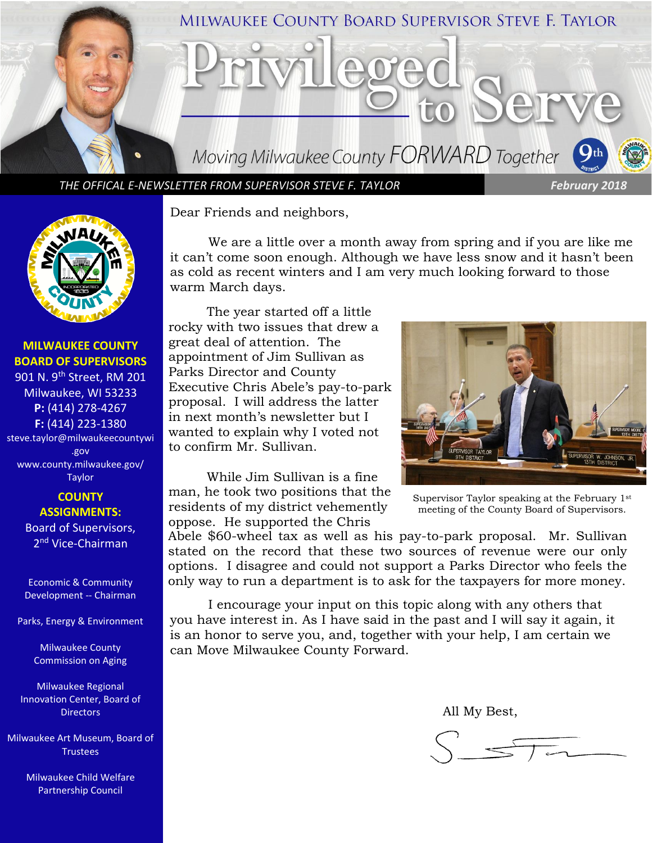

*THE OFFICAL E-NEWSLETTER FROM SUPERVISOR STEVE F. TAYLOR February 2018*



#### **MILWAUKEE COUNTY BOARD OF SUPERVISORS**

901 N. 9<sup>th</sup> Street, RM 201 Milwaukee, WI 53233 **P:** (414) 278-4267 **F:** (414) 223-1380 steve.taylor@milwaukeecountywi .gov [www.county.milwaukee.gov/](http://www.county.milwaukee.gov/Taylor) [Taylor](http://www.county.milwaukee.gov/Taylor)

#### **COUNTY ASSIGNMENTS:** Board of Supervisors, 2<sup>nd</sup> Vice-Chairman

Economic & Community Development -- Chairman

Parks, Energy & Environment

Milwaukee County Commission on Aging

Milwaukee Regional Innovation Center, Board of **Directors** 

Milwaukee Art Museum, Board of **Trustees** 

> Milwaukee Child Welfare Partnership Council

Dear Friends and neighbors,

We are a little over a month away from spring and if you are like me it can't come soon enough. Although we have less snow and it hasn't been as cold as recent winters and I am very much looking forward to those warm March days.

The year started off a little rocky with two issues that drew a great deal of attention. The appointment of Jim Sullivan as Parks Director and County Executive Chris Abele's pay-to-park proposal. I will address the latter in next month's newsletter but I wanted to explain why I voted not to confirm Mr. Sullivan.

While Jim Sullivan is a fine man, he took two positions that the residents of my district vehemently oppose. He supported the Chris



Supervisor Taylor speaking at the February 1st meeting of the County Board of Supervisors.

Abele \$60-wheel tax as well as his pay-to-park proposal. Mr. Sullivan stated on the record that these two sources of revenue were our only options. I disagree and could not support a Parks Director who feels the only way to run a department is to ask for the taxpayers for more money.

I encourage your input on this topic along with any others that you have interest in. As I have said in the past and I will say it again, it is an honor to serve you, and, together with your help, I am certain we can Move Milwaukee County Forward.

All My Best,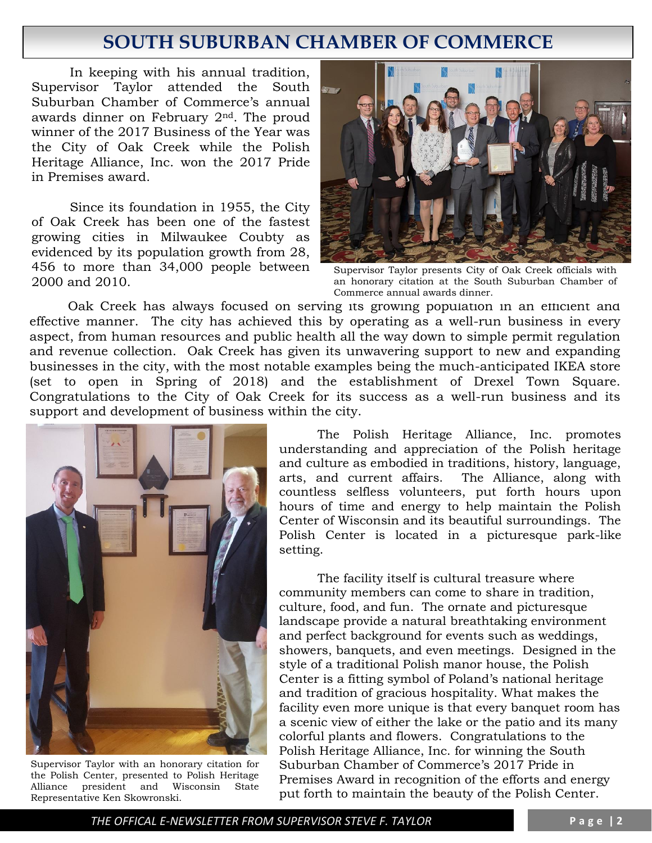## **SOUTH SUBURBAN CHAMBER OF COMMERCE**

In keeping with his annual tradition, Supervisor Taylor attended the South Suburban Chamber of Commerce's annual awards dinner on February 2nd. The proud winner of the 2017 Business of the Year was the City of Oak Creek while the Polish Heritage Alliance, Inc. won the 2017 Pride in Premises award.

Since its foundation in 1955, the City of Oak Creek has been one of the fastest growing cities in Milwaukee Coubty as evidenced by its population growth from 28, 456 to more than 34,000 people between 2000 and 2010.



Supervisor Taylor presents City of Oak Creek officials with an honorary citation at the South Suburban Chamber of Commerce annual awards dinner.

Oak Creek has always focused on serving its growing population in an efficient and effective manner. The city has achieved this by operating as a well-run business in every aspect, from human resources and public health all the way down to simple permit regulation and revenue collection. Oak Creek has given its unwavering support to new and expanding businesses in the city, with the most notable examples being the much-anticipated IKEA store (set to open in Spring of 2018) and the establishment of Drexel Town Square. Congratulations to the City of Oak Creek for its success as a well-run business and its support and development of business within the city.



Supervisor Taylor with an honorary citation for the Polish Center, presented to Polish Heritage Alliance president and Wisconsin State Representative Ken Skowronski.

The Polish Heritage Alliance, Inc. promotes understanding and appreciation of the Polish heritage and culture as embodied in traditions, history, language, arts, and current affairs. The Alliance, along with countless selfless volunteers, put forth hours upon hours of time and energy to help maintain the Polish Center of Wisconsin and its beautiful surroundings. The Polish Center is located in a picturesque park-like setting.

The facility itself is cultural treasure where community members can come to share in tradition, culture, food, and fun. The ornate and picturesque landscape provide a natural breathtaking environment and perfect background for events such as weddings, showers, banquets, and even meetings. Designed in the style of a traditional Polish manor house, the Polish Center is a fitting symbol of Poland's national heritage and tradition of gracious hospitality. What makes the facility even more unique is that every banquet room has a scenic view of either the lake or the patio and its many colorful plants and flowers. Congratulations to the Polish Heritage Alliance, Inc. for winning the South Suburban Chamber of Commerce's 2017 Pride in Premises Award in recognition of the efforts and energy put forth to maintain the beauty of the Polish Center.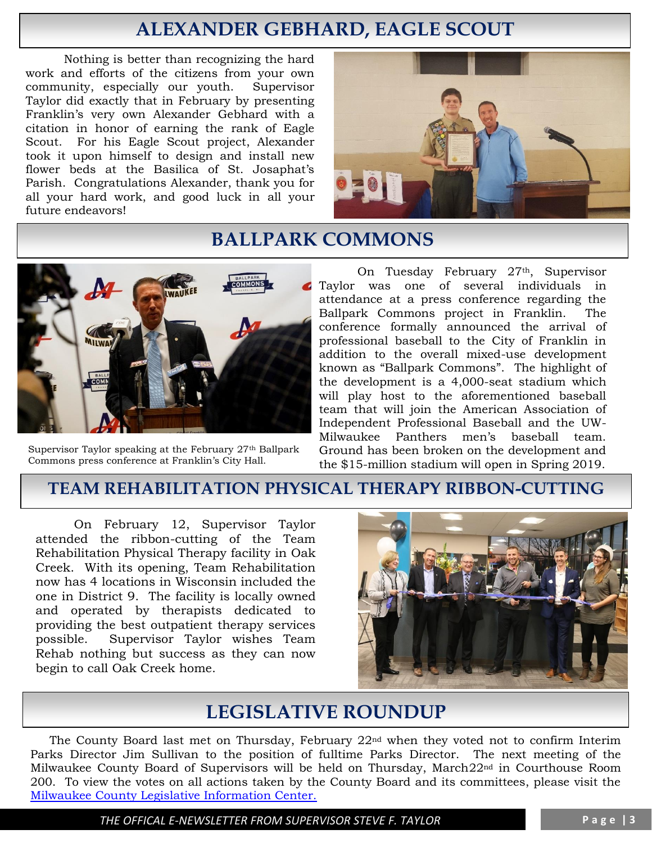# **ALEXANDER GEBHARD, EAGLE SCOUT**

Nothing is better than recognizing the hard work and efforts of the citizens from your own community, especially our youth. Supervisor Taylor did exactly that in February by presenting Franklin's very own Alexander Gebhard with a citation in honor of earning the rank of Eagle Scout. For his Eagle Scout project, Alexander took it upon himself to design and install new flower beds at the Basilica of St. Josaphat's Parish. Congratulations Alexander, thank you for all your hard work, and good luck in all your future endeavors!



## **BALLPARK COMMONS**



Supervisor Taylor speaking at the February 27<sup>th</sup> Ballpark Commons press conference at Franklin's City Hall.

On Tuesday February 27<sup>th</sup>, Supervisor Taylor was one of several individuals in attendance at a press conference regarding the Ballpark Commons project in Franklin. The conference formally announced the arrival of professional baseball to the City of Franklin in addition to the overall mixed-use development known as "Ballpark Commons". The highlight of the development is a 4,000-seat stadium which will play host to the aforementioned baseball team that will join the American Association of Independent Professional Baseball and the UW-Milwaukee Panthers men's baseball team. Ground has been broken on the development and the \$15-million stadium will open in Spring 2019.

### **TEAM REHABILITATION PHYSICAL THERAPY RIBBON-CUTTING**

On February 12, Supervisor Taylor attended the ribbon-cutting of the Team Rehabilitation Physical Therapy facility in Oak Creek. With its opening, Team Rehabilitation now has 4 locations in Wisconsin included the one in District 9. The facility is locally owned and operated by therapists dedicated to providing the best outpatient therapy services possible. Supervisor Taylor wishes Team Rehab nothing but success as they can now begin to call Oak Creek home.



## **LEGISLATIVE ROUNDUP**

The County Board last met on Thursday, February 22nd when they voted not to confirm Interim Parks Director Jim Sullivan to the position of fulltime Parks Director. The next meeting of the Milwaukee County Board of Supervisors will be held on Thursday, March22nd in Courthouse Room 200. To view the votes on all actions taken by the County Board and its committees, please visit the [Milwaukee County Legislative Information Center.](http://milwaukeecounty.legistar.com/Calendar.aspx) 

*THE OFFICAL E-NEWSLETTER FROM SUPERVISOR STEVE F. TAYLOR* **P a g e | 3**